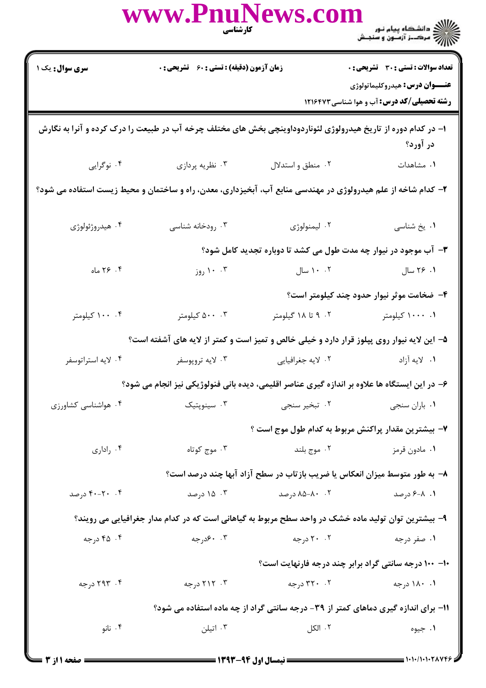|                                                                                                     | www.PnuNews.com<br>كارشناسي                                                                                   |                   | ے ۔<br>کا ایک دانشگاہ پیام نور<br>کا ایک مرکبز آزمیوں و سنجش                                                                               |  |  |
|-----------------------------------------------------------------------------------------------------|---------------------------------------------------------------------------------------------------------------|-------------------|--------------------------------------------------------------------------------------------------------------------------------------------|--|--|
| <b>سری سوال:</b> یک ۱                                                                               | زمان آزمون (دقیقه) : تستی : ۶۰٪ تشریحی : ۰                                                                    |                   | <b>تعداد سوالات : تستی : 30 ٪ تشریحی : 0</b><br><b>عنـــوان درس:</b> هیدروکلیماتولوژی<br><b>رشته تحصیلی/کد درس:</b> آب و هوا شناسی ۱۲۱۶۴۷۳ |  |  |
|                                                                                                     | ۱– در کدام دوره از تاریخ هیدرولوژی لئوناردوداوینچی بخش های مختلف چرخه آب در طبیعت را درک کرده و آنرا به نگارش |                   | در آورد؟                                                                                                                                   |  |  |
| ۰۴ نوگرايي                                                                                          | ۰۳ نظریه پردازی                                                                                               | ۰۲ منطق و استدلال | ٠١ مشاهدات                                                                                                                                 |  |  |
|                                                                                                     | ۲– کدام شاخه از علم هیدرولوژی در مهندسی منابع آب، آبخیزداری، معدن، راه و ساختمان و محیط زیست استفاده می شود؟  |                   |                                                                                                                                            |  |  |
| ۰۴ هیدروژئولوژی                                                                                     | ۰۳ رودخانه شناسی                                                                                              | ۰۲ ليمنولوژي      | ٠١. يخ شناسي                                                                                                                               |  |  |
|                                                                                                     |                                                                                                               |                   | ۳- آب موجود در نیوار چه مدت طول می کشد تا دوباره تجدید کامل شود؟                                                                           |  |  |
| ۲۶ $\cdot$ ۲۶ ماه                                                                                   | ۰۰ ۱۰ روز                                                                                                     |                   | ۰۱ ۲۶ سال ۱۰۰۰۲ سال                                                                                                                        |  |  |
|                                                                                                     |                                                                                                               |                   | ۴– ضخامت موثر نیوار حدود چند کیلومتر است؟                                                                                                  |  |  |
| ۰۴ ۱۰۰ کیلومتر                                                                                      | ۰۰ ۵۰۰ کیلومتر                                                                                                | ۰۲ تا ۱۸ گیلومتر  | ۰۰ ۱۰۰۰ کیلومتر                                                                                                                            |  |  |
| ۵– این لایه نیوار روی پپلوز قرار دارد و خیلی خالص و تمیز است و کمتر از لایه های آشفته است؟          |                                                                                                               |                   |                                                                                                                                            |  |  |
| ۰۴ لايه استراتوسفر                                                                                  | ۰۳ لايه تروپوسفر                                                                                              | ۰۲ لايه جغرافيايي | ۰۱ لايه آزاد                                                                                                                               |  |  |
| ۶– در این ایستگاه ها علاوه بر اندازه گیری عناصر اقلیمی، دیده بانی فنولوژیکی نیز انجام می شود؟       |                                                                                                               |                   |                                                                                                                                            |  |  |
| ۰۴ هواشناسی کشاورزی                                                                                 | ۰۳ سینوپتیک                                                                                                   | ۰۲ تبخیر سنجی     | ٠١. باران سنجي                                                                                                                             |  |  |
|                                                                                                     |                                                                                                               |                   | ۷– بیشترین مقدار پراکنش مربوط به کدام طول موج است ؟                                                                                        |  |  |
| ۰۴ راداری                                                                                           | ۰۳ موج کوتاه                                                                                                  | ۰۲ موج بلند       | ۰۱ مادون قرمز                                                                                                                              |  |  |
|                                                                                                     |                                                                                                               |                   | ۸– به طور متوسط میزان انعکاس یا ضریب بازتاب در سطح آزاد آبها چند درصد است؟                                                                 |  |  |
| ۰۴ - ۴۰-۴۰ درصد                                                                                     | ۰۳ ۱۵ درصد                                                                                                    | ۰۲ - ۸۰–۸۵ درصد   | ۰۱ ـ ۶-۶ درصد                                                                                                                              |  |  |
| ۹- بیشترین توان تولید ماده خشک در واحد سطح مربوط به گیاهانی است که در کدام مدار جغرافیایی می رویند؟ |                                                                                                               |                   |                                                                                                                                            |  |  |
| ۰۴ درجه                                                                                             | ۰. ۶۰درجه                                                                                                     | ۲۰ ۲۰ درجه        | ۰۱ صفر درجه                                                                                                                                |  |  |
|                                                                                                     |                                                                                                               |                   | ۱۰۰ - ۱۰۰ درجه سانتی گراد برابر چند درجه فارنهایت است؟                                                                                     |  |  |
| ۰۴ ۲۹۳ درجه                                                                                         | ۰۳ ۲۱۲ درجه                                                                                                   | ۰۲ درجه           | ۰۱ ۱۸۰ درجه                                                                                                                                |  |  |
| ۱۱- برای اندازه گیری دماهای کمتر از ۳۹- درجه سانتی گراد از چه ماده استفاده می شود؟                  |                                                                                                               |                   |                                                                                                                                            |  |  |
| ۰۴ نانو                                                                                             | ۰۳ اتیلن                                                                                                      | ۰۲ الکل           | ۰۱ جيوه                                                                                                                                    |  |  |
|                                                                                                     |                                                                                                               |                   |                                                                                                                                            |  |  |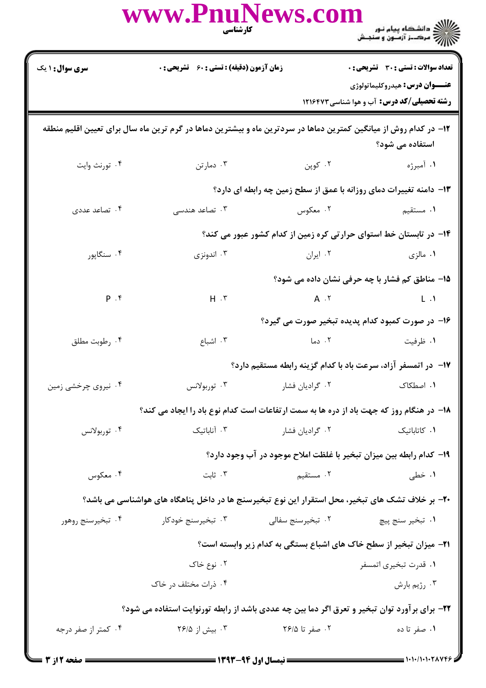|                                                                                                                                      | www.PnuNews.col                                                                                  | <b>کارشناسی</b>                  | ے ۔<br>حکالات دانشگاہ پیام نور<br>حکالات مرکز آزمون و سنجش                            |  |  |
|--------------------------------------------------------------------------------------------------------------------------------------|--------------------------------------------------------------------------------------------------|----------------------------------|---------------------------------------------------------------------------------------|--|--|
| <b>سری سوال : ۱ یک</b>                                                                                                               | زمان آزمون (دقیقه) : تستی : 60 ٪ تشریحی : 0                                                      |                                  | <b>تعداد سوالات : تستی : 30 ٪ تشریحی : 0</b><br><b>عنـــوان درس:</b> هيدروكليماتولوژي |  |  |
|                                                                                                                                      |                                                                                                  |                                  | <b>رشته تحصیلی/کد درس:</b> آب و هوا شناسی ۱۲۱۶۴۷۳                                     |  |  |
| ۱۲– در کدام روش از میانگین کمترین دماها در سردترین ماه و بیشترین دماها در گرم ترین ماه سال برای تعیین اقلیم منطقه<br>استفاده می شود؟ |                                                                                                  |                                  |                                                                                       |  |  |
| ۰۴ تورنث وايت                                                                                                                        | ۰۳ دمارتن                                                                                        | ۰۲ کوپن                          | ۰۱ آمبرژه                                                                             |  |  |
|                                                                                                                                      |                                                                                                  |                                  | ۱۳- دامنه تغییرات دمای روزانه با عمق از سطح زمین چه رابطه ای دارد؟                    |  |  |
| ۰۴ تصاعد عددی                                                                                                                        | ۰۳ تصاعد هندسی                                                                                   | ۰۲ معکوس                         | <b>۱.</b> مستقیم                                                                      |  |  |
|                                                                                                                                      |                                                                                                  |                                  | ۱۴– در تابستان خط استوای حرارتی کره زمین از کدام کشور عبور می کند؟                    |  |  |
| ۰۴ سنگاپور                                                                                                                           | ۰۳ اندونزی                                                                                       | ۰۲ ایران                         | ۰۱ مالزی                                                                              |  |  |
|                                                                                                                                      |                                                                                                  |                                  | 15- مناطق کم فشار با چه حرفی نشان داده می شود؟                                        |  |  |
| P. f                                                                                                                                 | $H \cdot Y$                                                                                      |                                  | $A \cdot Y$<br>$\mathsf{L} \cdot \mathsf{A}$                                          |  |  |
|                                                                                                                                      |                                                                                                  |                                  | ۱۶– در صورت کمبود کدام پدیده تبخیر صورت می گیرد؟                                      |  |  |
| ۰۴ رطوبت مطلق                                                                                                                        | ۰۳ اشباع                                                                                         | ۰۲ دما                           | ۰۱ ظرفیت                                                                              |  |  |
|                                                                                                                                      |                                                                                                  |                                  | ۱۷- در اتمسفر آزاد، سرعت باد با کدام گزینه رابطه مستقیم دارد؟                         |  |  |
| ۰۴ نیروی چرخشی زمین                                                                                                                  | ۰۳ توربولانس                                                                                     | ۰۲ گرادیان فشار                  | ٠١. اصطكاك                                                                            |  |  |
|                                                                                                                                      | <b>۱۸</b> - در هنگام روز که جهت باد از دره ها به سمت ارتفاعات است کدام نوع باد را ایجاد می کند؟  |                                  |                                                                                       |  |  |
| ۰۴ توربولانس                                                                                                                         |                                                                                                  | ۰۲ گرادیان فشار مسلم ۲۰ آناباتیک | ٠١ كاتاباتيك                                                                          |  |  |
|                                                                                                                                      |                                                                                                  |                                  | ۱۹- کدام رابطه بین میزان تبخیر با غلظت املاح موجود در آب وجود دارد؟                   |  |  |
| ۰۴ معکوس                                                                                                                             | ۰۳ ثابت                                                                                          | ۲. مستقیم                        | ۰۱ خطی                                                                                |  |  |
|                                                                                                                                      | ۲۰– بر خلاف تشک های تبخیر، محل استقرار این نوع تبخیرسنج ها در داخل پناهگاه های هواشناسی می باشد؟ |                                  |                                                                                       |  |  |
| ۰۴ تبخیرسنج روهور                                                                                                                    |                                                                                                  |                                  |                                                                                       |  |  |
|                                                                                                                                      |                                                                                                  |                                  | <b>۲۱</b> - میزان تبخیر از سطح خاک های اشباع بستگی به کدام زیر وابسته است؟            |  |  |
|                                                                                                                                      | ۰۲ نوع خاک                                                                                       |                                  | ٠١ قدرت تبخيري اتمسفر                                                                 |  |  |
|                                                                                                                                      | ۰۴ ذرات مختلف در خاک                                                                             |                                  | ۰۳ رژيم بارش                                                                          |  |  |
| ۲۲- برای برآورد توان تبخیر و تعرق اگر دما بین چه عددی باشد از رابطه تورنوایت استفاده می شود؟                                         |                                                                                                  |                                  |                                                                                       |  |  |
| ۰۴ کمتر از صفر درجه                                                                                                                  | ۰۳ بیش از ۲۶/۵                                                                                   | ۰۲ صفر تا ۲۶/۵                   | ۰۱ صفر تا ده                                                                          |  |  |

 $= 1.1.11.11.7$